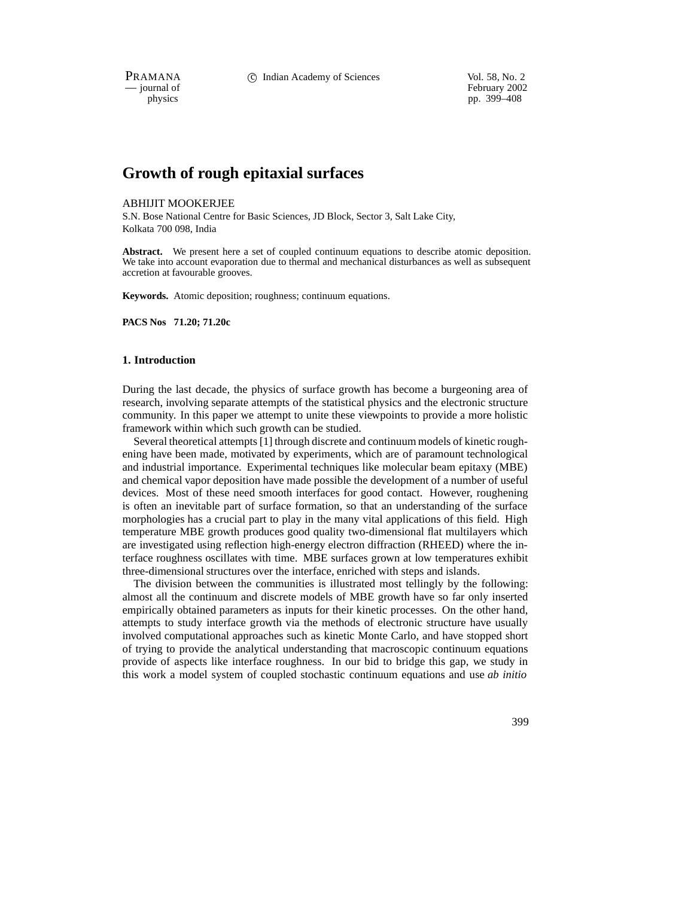PRAMANA c Indian Academy of Sciences Vol. 58, No. 2

physics<br>
and the physics<br>
pp. 399–408<br>
pp. 399–408 pp. 399–408

# **Growth of rough epitaxial surfaces**

## ABHIJIT MOOKERJEE

S.N. Bose National Centre for Basic Sciences, JD Block, Sector 3, Salt Lake City, Kolkata 700 098, India

Abstract. We present here a set of coupled continuum equations to describe atomic deposition. We take into account evaporation due to thermal and mechanical disturbances as well as subsequent accretion at favourable grooves.

**Keywords.** Atomic deposition; roughness; continuum equations.

**PACS Nos 71.20; 71.20c**

## **1. Introduction**

During the last decade, the physics of surface growth has become a burgeoning area of research, involving separate attempts of the statistical physics and the electronic structure community. In this paper we attempt to unite these viewpoints to provide a more holistic framework within which such growth can be studied.

Several theoretical attempts [1] through discrete and continuum models of kinetic roughening have been made, motivated by experiments, which are of paramount technological and industrial importance. Experimental techniques like molecular beam epitaxy (MBE) and chemical vapor deposition have made possible the development of a number of useful devices. Most of these need smooth interfaces for good contact. However, roughening is often an inevitable part of surface formation, so that an understanding of the surface morphologies has a crucial part to play in the many vital applications of this field. High temperature MBE growth produces good quality two-dimensional flat multilayers which are investigated using reflection high-energy electron diffraction (RHEED) where the interface roughness oscillates with time. MBE surfaces grown at low temperatures exhibit three-dimensional structures over the interface, enriched with steps and islands.

The division between the communities is illustrated most tellingly by the following: almost all the continuum and discrete models of MBE growth have so far only inserted empirically obtained parameters as inputs for their kinetic processes. On the other hand, attempts to study interface growth via the methods of electronic structure have usually involved computational approaches such as kinetic Monte Carlo, and have stopped short of trying to provide the analytical understanding that macroscopic continuum equations provide of aspects like interface roughness. In our bid to bridge this gap, we study in this work a model system of coupled stochastic continuum equations and use *ab initio*

399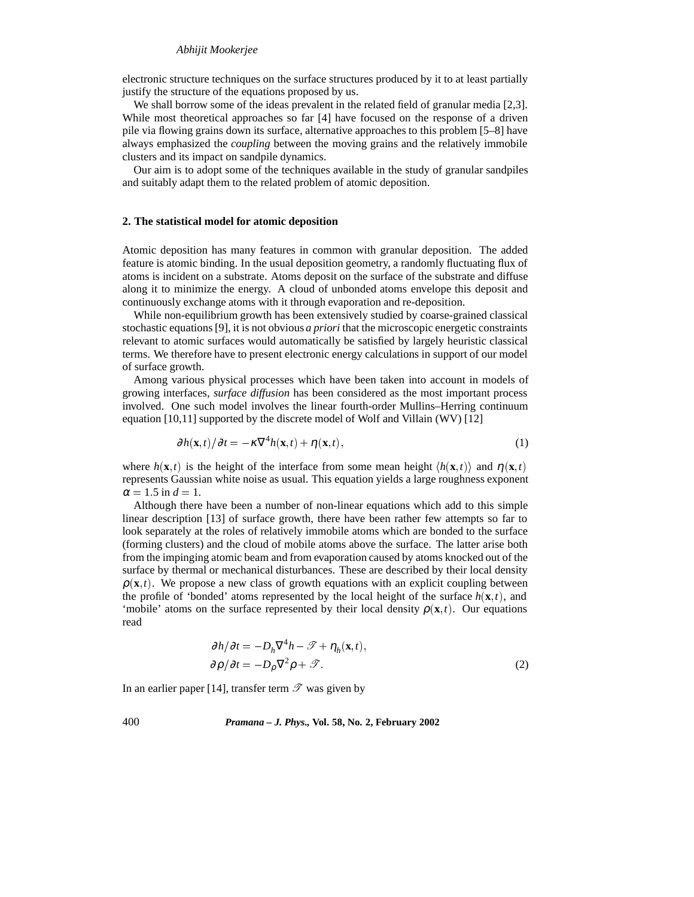#### *Abhijit Mookerjee*

electronic structure techniques on the surface structures produced by it to at least partially justify the structure of the equations proposed by us.

We shall borrow some of the ideas prevalent in the related field of granular media [2,3]. While most theoretical approaches so far [4] have focused on the response of a driven pile via flowing grains down its surface, alternative approaches to this problem [5–8] have always emphasized the *coupling* between the moving grains and the relatively immobile clusters and its impact on sandpile dynamics.

Our aim is to adopt some of the techniques available in the study of granular sandpiles and suitably adapt them to the related problem of atomic deposition.

## **2. The statistical model for atomic deposition**

Atomic deposition has many features in common with granular deposition. The added feature is atomic binding. In the usual deposition geometry, a randomly fluctuating flux of atoms is incident on a substrate. Atoms deposit on the surface of the substrate and diffuse along it to minimize the energy. A cloud of unbonded atoms envelope this deposit and continuously exchange atoms with it through evaporation and re-deposition.

While non-equilibrium growth has been extensively studied by coarse-grained classical stochastic equations [9], it is not obvious *a priori* that the microscopic energetic constraints relevant to atomic surfaces would automatically be satisfied by largely heuristic classical terms. We therefore have to present electronic energy calculations in support of our model of surface growth.

Among various physical processes which have been taken into account in models of growing interfaces, *surface diffusion* has been considered as the most important process involved. One such model involves the linear fourth-order Mullins–Herring continuum equation [10,11] supported by the discrete model of Wolf and Villain (WV) [12]

$$
\frac{\partial h(\mathbf{x},t)}{\partial t} = -\kappa \nabla^4 h(\mathbf{x},t) + \eta(\mathbf{x},t),\tag{1}
$$

where  $h(\mathbf{x}, t)$  is the height of the interface from some mean height  $\langle h(\mathbf{x}, t) \rangle$  and  $\eta(\mathbf{x}, t)$ represents Gaussian white noise as usual. This equation yields a large roughness exponent  $\alpha = 1.5$  in  $d = 1$ .

Although there have been a number of non-linear equations which add to this simple linear description [13] of surface growth, there have been rather few attempts so far to look separately at the roles of relatively immobile atoms which are bonded to the surface (forming clusters) and the cloud of mobile atoms above the surface. The latter arise both from the impinging atomic beam and from evaporation caused by atoms knocked out of the surface by thermal or mechanical disturbances. These are described by their local density  $\rho(\mathbf{x},t)$ . We propose a new class of growth equations with an explicit coupling between the profile of 'bonded' atoms represented by the local height of the surface  $h(\mathbf{x}, t)$ , and 'mobile' atoms on the surface represented by their local density  $\rho(\mathbf{x},t)$ . Our equations read

$$
\partial h/\partial t = -D_h \nabla^4 h - \mathcal{T} + \eta_h(\mathbf{x}, t),
$$
  
\n
$$
\partial \rho/\partial t = -D_\rho \nabla^2 \rho + \mathcal{T}.
$$
\n(2)

In an earlier paper [14], transfer term  $\mathscr T$  was given by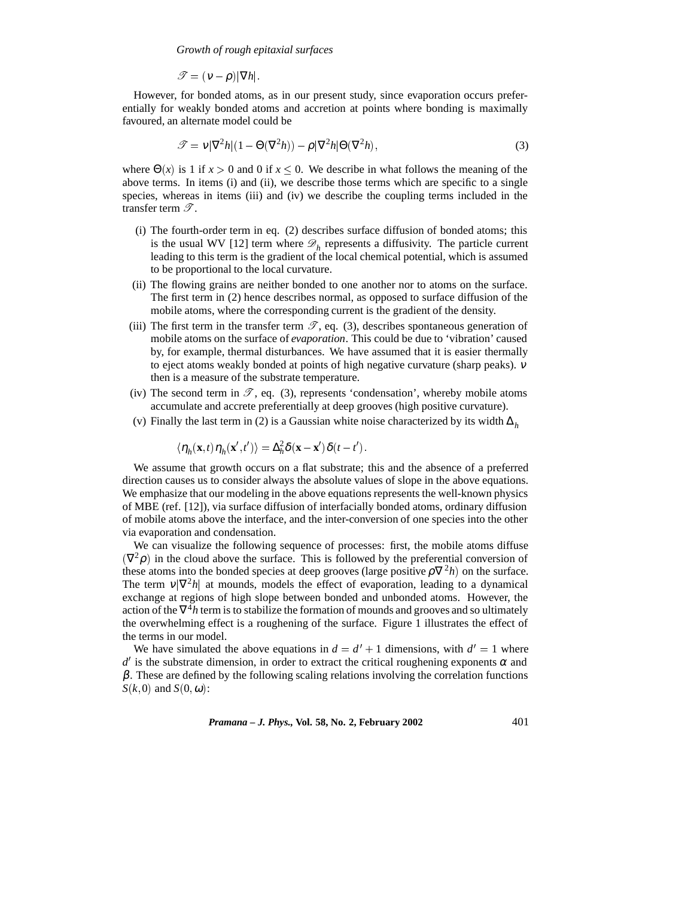*Growth of rough epitaxial surfaces*

$$
\mathscr{T} = (\mathsf{v} - \rho)|\nabla h|.
$$

However, for bonded atoms, as in our present study, since evaporation occurs preferentially for weakly bonded atoms and accretion at points where bonding is maximally favoured, an alternate model could be

$$
\mathcal{T} = v|\nabla^2 h|(1 - \Theta(\nabla^2 h)) - \rho|\nabla^2 h|\Theta(\nabla^2 h),
$$
\n(3)

where  $\Theta(x)$  is 1 if  $x > 0$  and 0 if  $x < 0$ . We describe in what follows the meaning of the above terms. In items (i) and (ii), we describe those terms which are specific to a single species, whereas in items (iii) and (iv) we describe the coupling terms included in the transfer term  $\mathscr{T}$ .

- (i) The fourth-order term in eq. (2) describes surface diffusion of bonded atoms; this is the usual WV [12] term where  $\mathscr{D}_h$  represents a diffusivity. The particle current leading to this term is the gradient of the local chemical potential, which is assumed to be proportional to the local curvature.
- (ii) The flowing grains are neither bonded to one another nor to atoms on the surface. The first term in (2) hence describes normal, as opposed to surface diffusion of the mobile atoms, where the corresponding current is the gradient of the density.
- (iii) The first term in the transfer term  $\mathscr{T}$ , eq. (3), describes spontaneous generation of mobile atoms on the surface of *evaporation*. This could be due to 'vibration' caused by, for example, thermal disturbances. We have assumed that it is easier thermally to eject atoms weakly bonded at points of high negative curvature (sharp peaks). <sup>ν</sup> then is a measure of the substrate temperature.
- (iv) The second term in  $\mathscr{T}$ , eq. (3), represents 'condensation', whereby mobile atoms accumulate and accrete preferentially at deep grooves (high positive curvature).
- (v) Finally the last term in (2) is a Gaussian white noise characterized by its width ∆*<sup>h</sup>*

$$
\langle \eta_h(\mathbf{x},t)\eta_h(\mathbf{x}',t')\rangle = \Delta_h^2 \delta(\mathbf{x}-\mathbf{x}')\delta(t-t').
$$

We assume that growth occurs on a flat substrate; this and the absence of a preferred direction causes us to consider always the absolute values of slope in the above equations. We emphasize that our modeling in the above equations represents the well-known physics of MBE (ref. [12]), via surface diffusion of interfacially bonded atoms, ordinary diffusion of mobile atoms above the interface, and the inter-conversion of one species into the other via evaporation and condensation.

We can visualize the following sequence of processes: first, the mobile atoms diffuse  $(\nabla^2 \rho)$  in the cloud above the surface. This is followed by the preferential conversion of these atoms into the bonded species at deep grooves (large positive  $\rho \nabla^2 h$ ) on the surface. The term  $v|\nabla^2 h|$  at mounds, models the effect of evaporation, leading to a dynamical exchange at regions of high slope between bonded and unbonded atoms. However, the action of the  $\nabla^4 h$  term is to stabilize the formation of mounds and grooves and so ultimately the overwhelming effect is a roughening of the surface. Figure 1 illustrates the effect of the terms in our model.

We have simulated the above equations in  $d = d' + 1$  dimensions, with  $d' = 1$  where  $d'$  is the substrate dimension, in order to extract the critical roughening exponents  $\alpha$  and  $\beta$ . These are defined by the following scaling relations involving the correlation functions  $S(k,0)$  and  $S(0,\omega)$ :

*Pramana – J. Phys.,* **Vol. 58, No. 2, February 2002** 401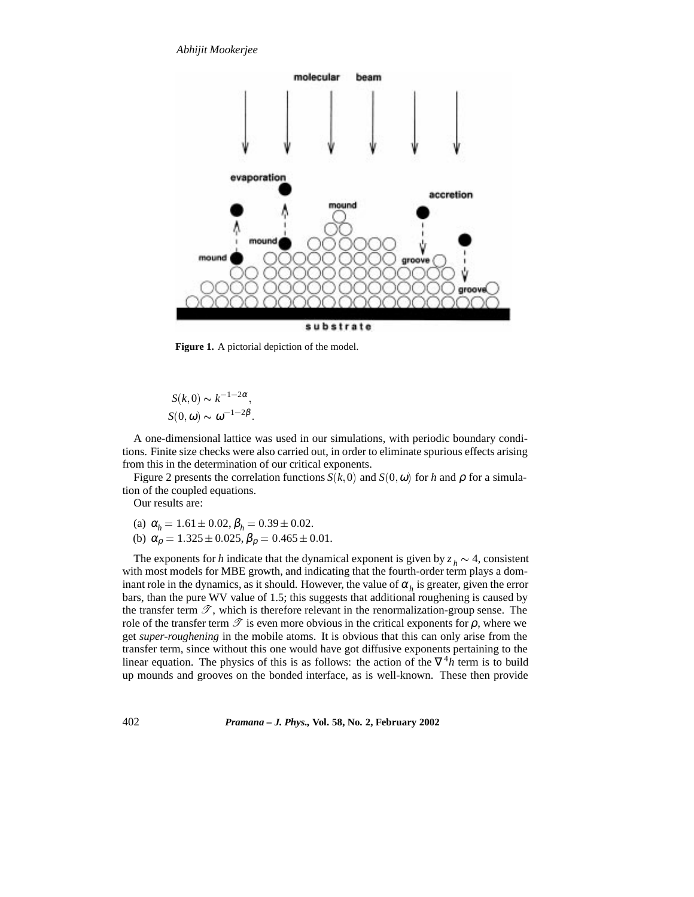*Abhijit Mookerjee*



**Figure 1.** A pictorial depiction of the model.

$$
S(k,0) \sim k^{-1-2\alpha},
$$
  
 
$$
S(0,\omega) \sim \omega^{-1-2\beta}.
$$

A one-dimensional lattice was used in our simulations, with periodic boundary conditions. Finite size checks were also carried out, in order to eliminate spurious effects arising from this in the determination of our critical exponents.

Figure 2 presents the correlation functions  $S(k, 0)$  and  $S(0, \omega)$  for *h* and  $\rho$  for a simulation of the coupled equations.

Our results are:

(a) 
$$
\alpha_h = 1.61 \pm 0.02
$$
,  $\beta_h = 0.39 \pm 0.02$ .  
(b)  $\alpha_\rho = 1.325 \pm 0.025$ ,  $\beta_\rho = 0.465 \pm 0.01$ .

The exponents for *h* indicate that the dynamical exponent is given by  $z_h \sim 4$ , consistent with most models for MBE growth, and indicating that the fourth-order term plays a dominant role in the dynamics, as it should. However, the value of  $\alpha_h$  is greater, given the error bars, than the pure WV value of 1.5; this suggests that additional roughening is caused by the transfer term  $\mathscr T$ , which is therefore relevant in the renormalization-group sense. The role of the transfer term  $\mathscr T$  is even more obvious in the critical exponents for  $\rho$ , where we get *super-roughening* in the mobile atoms. It is obvious that this can only arise from the transfer term, since without this one would have got diffusive exponents pertaining to the linear equation. The physics of this is as follows: the action of the  $\nabla^4 h$  term is to build up mounds and grooves on the bonded interface, as is well-known. These then provide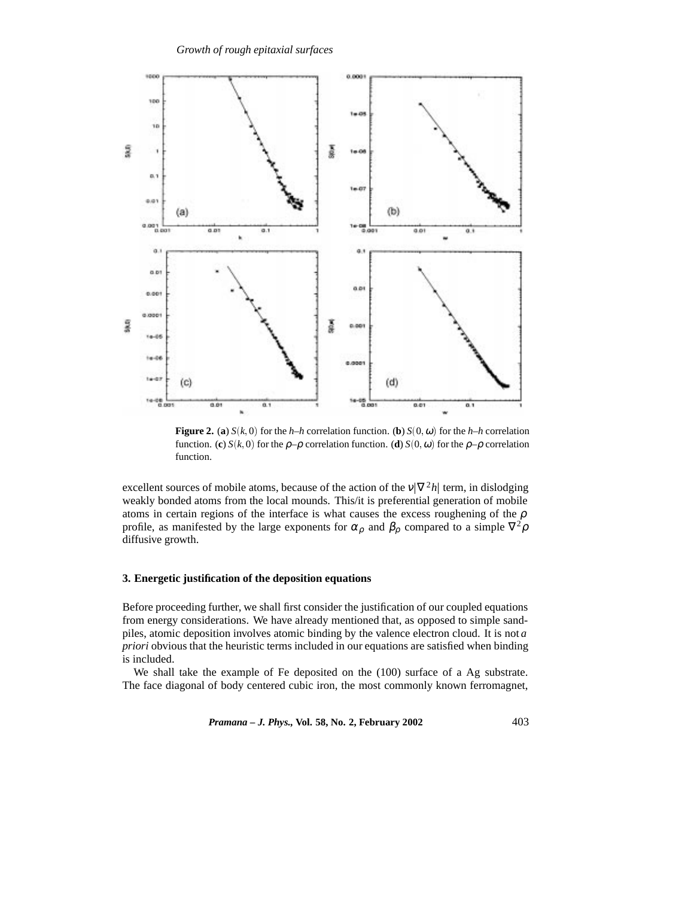

**Figure 2.** (a)  $S(k, 0)$  for the *h*–*h* correlation function. (**b**)  $S(0, \omega)$  for the *h*–*h* correlation function. (c) *S*( $k$ , 0) for the  $\rho-\rho$  correlation function. (**d**) *S*(0,  $\omega$ ) for the  $\rho-\rho$  correlation function.

excellent sources of mobile atoms, because of the action of the  $v | \nabla^2 h |$  term, in dislodging weakly bonded atoms from the local mounds. This/it is preferential generation of mobile atoms in certain regions of the interface is what causes the excess roughening of the  $\rho$ profile, as manifested by the large exponents for  $\alpha_{\rho}$  and  $\beta_{\rho}$  compared to a simple  $\nabla^2 \rho$ diffusive growth.

## **3. Energetic justification of the deposition equations**

Before proceeding further, we shall first consider the justification of our coupled equations from energy considerations. We have already mentioned that, as opposed to simple sandpiles, atomic deposition involves atomic binding by the valence electron cloud. It is not *a priori* obvious that the heuristic terms included in our equations are satisfied when binding is included.

We shall take the example of Fe deposited on the (100) surface of a Ag substrate. The face diagonal of body centered cubic iron, the most commonly known ferromagnet,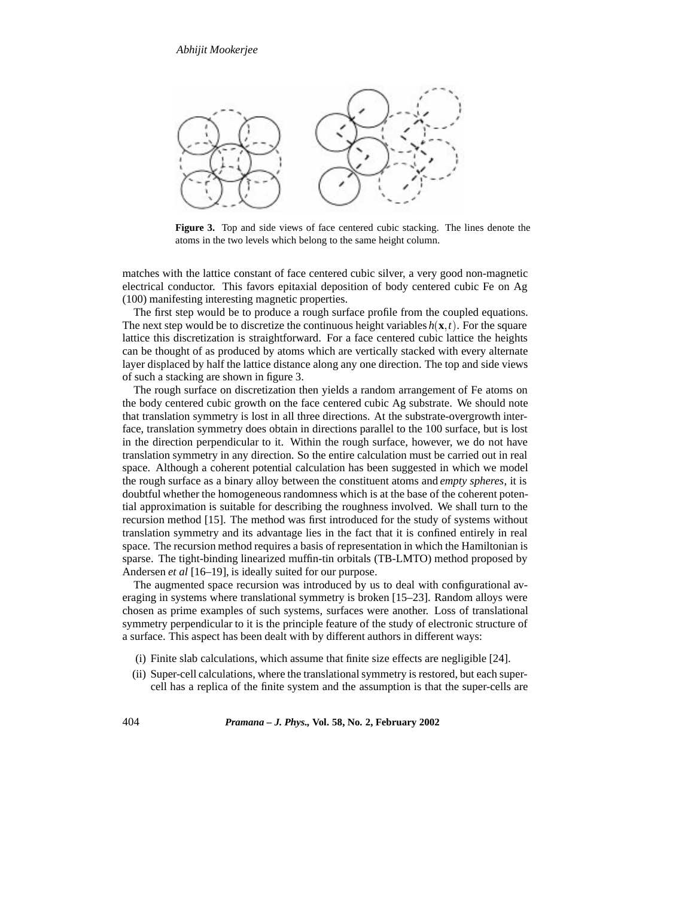

**Figure 3.** Top and side views of face centered cubic stacking. The lines denote the atoms in the two levels which belong to the same height column.

matches with the lattice constant of face centered cubic silver, a very good non-magnetic electrical conductor. This favors epitaxial deposition of body centered cubic Fe on Ag (100) manifesting interesting magnetic properties.

The first step would be to produce a rough surface profile from the coupled equations. The next step would be to discretize the continuous height variables  $h(\mathbf{x}, t)$ . For the square lattice this discretization is straightforward. For a face centered cubic lattice the heights can be thought of as produced by atoms which are vertically stacked with every alternate layer displaced by half the lattice distance along any one direction. The top and side views of such a stacking are shown in figure 3.

The rough surface on discretization then yields a random arrangement of Fe atoms on the body centered cubic growth on the face centered cubic Ag substrate. We should note that translation symmetry is lost in all three directions. At the substrate-overgrowth interface, translation symmetry does obtain in directions parallel to the 100 surface, but is lost in the direction perpendicular to it. Within the rough surface, however, we do not have translation symmetry in any direction. So the entire calculation must be carried out in real space. Although a coherent potential calculation has been suggested in which we model the rough surface as a binary alloy between the constituent atoms and *empty spheres*, it is doubtful whether the homogeneous randomness which is at the base of the coherent potential approximation is suitable for describing the roughness involved. We shall turn to the recursion method [15]. The method was first introduced for the study of systems without translation symmetry and its advantage lies in the fact that it is confined entirely in real space. The recursion method requires a basis of representation in which the Hamiltonian is sparse. The tight-binding linearized muffin-tin orbitals (TB-LMTO) method proposed by Andersen *et al* [16–19], is ideally suited for our purpose.

The augmented space recursion was introduced by us to deal with configurational averaging in systems where translational symmetry is broken [15–23]. Random alloys were chosen as prime examples of such systems, surfaces were another. Loss of translational symmetry perpendicular to it is the principle feature of the study of electronic structure of a surface. This aspect has been dealt with by different authors in different ways:

- (i) Finite slab calculations, which assume that finite size effects are negligible [24].
- (ii) Super-cell calculations, where the translational symmetry is restored, but each supercell has a replica of the finite system and the assumption is that the super-cells are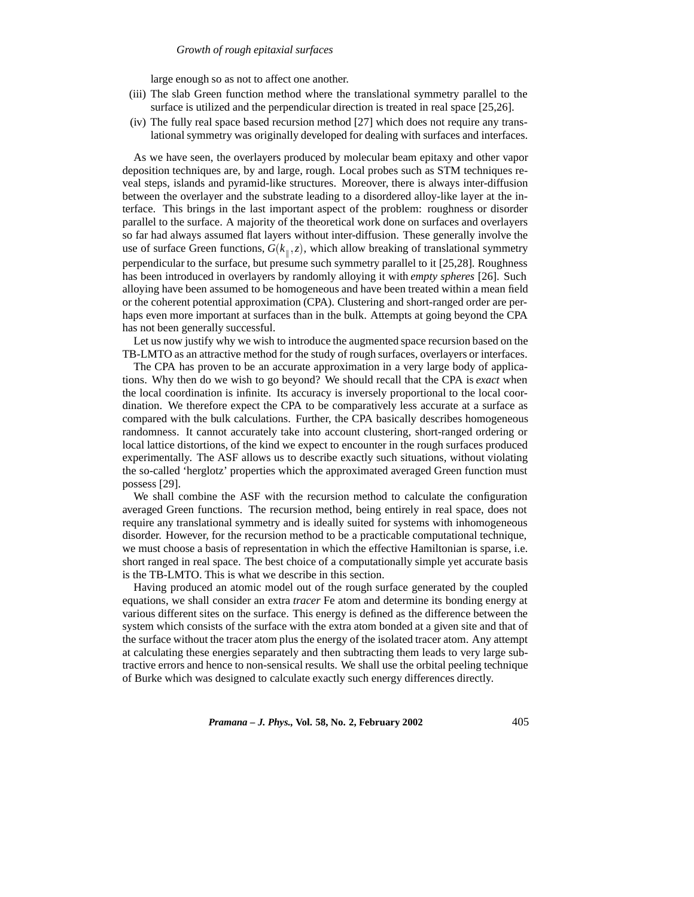## *Growth of rough epitaxial surfaces*

large enough so as not to affect one another.

- (iii) The slab Green function method where the translational symmetry parallel to the surface is utilized and the perpendicular direction is treated in real space [25,26].
- (iv) The fully real space based recursion method [27] which does not require any translational symmetry was originally developed for dealing with surfaces and interfaces.

As we have seen, the overlayers produced by molecular beam epitaxy and other vapor deposition techniques are, by and large, rough. Local probes such as STM techniques reveal steps, islands and pyramid-like structures. Moreover, there is always inter-diffusion between the overlayer and the substrate leading to a disordered alloy-like layer at the interface. This brings in the last important aspect of the problem: roughness or disorder parallel to the surface. A majority of the theoretical work done on surfaces and overlayers so far had always assumed flat layers without inter-diffusion. These generally involve the use of surface Green functions,  $G(k_{\parallel}, z)$ , which allow breaking of translational symmetry ka kalendari kacamatan ing Kabupatèn Kabupatèn Kabupatèn Kabupatèn Kabupatèn Kabupatèn Kabupatèn Kabupatèn Kab perpendicular to the surface, but presume such symmetry parallel to it [25,28]. Roughness has been introduced in overlayers by randomly alloying it with *empty spheres* [26]. Such alloying have been assumed to be homogeneous and have been treated within a mean field or the coherent potential approximation (CPA). Clustering and short-ranged order are perhaps even more important at surfaces than in the bulk. Attempts at going beyond the CPA has not been generally successful.

Let us now justify why we wish to introduce the augmented space recursion based on the TB-LMTO as an attractive method for the study of rough surfaces, overlayers or interfaces.

The CPA has proven to be an accurate approximation in a very large body of applications. Why then do we wish to go beyond? We should recall that the CPA is *exact* when the local coordination is infinite. Its accuracy is inversely proportional to the local coordination. We therefore expect the CPA to be comparatively less accurate at a surface as compared with the bulk calculations. Further, the CPA basically describes homogeneous randomness. It cannot accurately take into account clustering, short-ranged ordering or local lattice distortions, of the kind we expect to encounter in the rough surfaces produced experimentally. The ASF allows us to describe exactly such situations, without violating the so-called 'herglotz' properties which the approximated averaged Green function must possess [29].

We shall combine the ASF with the recursion method to calculate the configuration averaged Green functions. The recursion method, being entirely in real space, does not require any translational symmetry and is ideally suited for systems with inhomogeneous disorder. However, for the recursion method to be a practicable computational technique, we must choose a basis of representation in which the effective Hamiltonian is sparse, i.e. short ranged in real space. The best choice of a computationally simple yet accurate basis is the TB-LMTO. This is what we describe in this section.

Having produced an atomic model out of the rough surface generated by the coupled equations, we shall consider an extra *tracer* Fe atom and determine its bonding energy at various different sites on the surface. This energy is defined as the difference between the system which consists of the surface with the extra atom bonded at a given site and that of the surface without the tracer atom plus the energy of the isolated tracer atom. Any attempt at calculating these energies separately and then subtracting them leads to very large subtractive errors and hence to non-sensical results. We shall use the orbital peeling technique of Burke which was designed to calculate exactly such energy differences directly.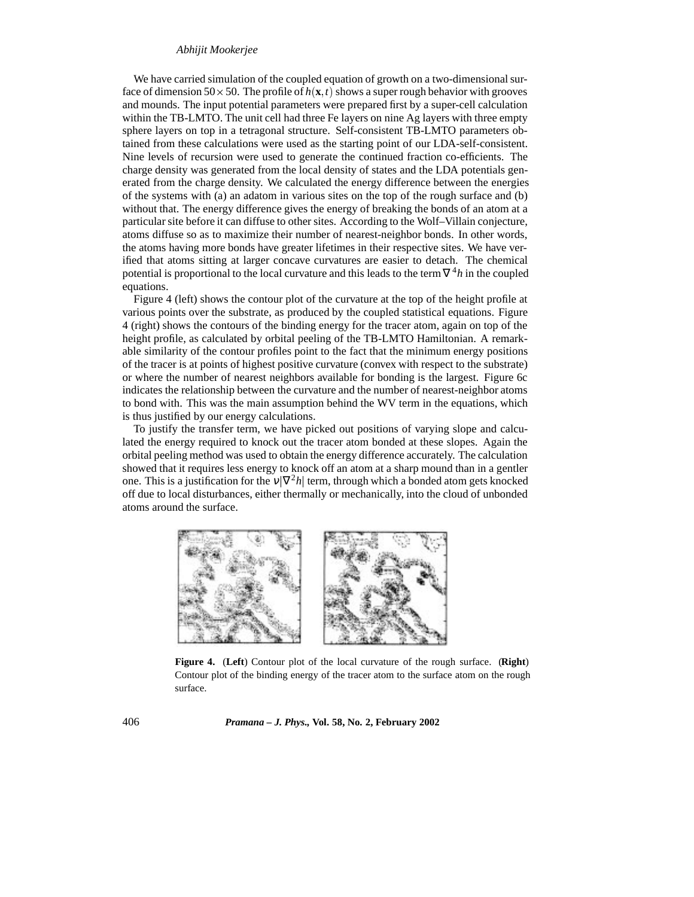## *Abhijit Mookerjee*

We have carried simulation of the coupled equation of growth on a two-dimensional surface of dimension 50  $\times$  50. The profile of  $h(\mathbf{x}, t)$  shows a super rough behavior with grooves and mounds. The input potential parameters were prepared first by a super-cell calculation within the TB-LMTO. The unit cell had three Fe layers on nine Ag layers with three empty sphere layers on top in a tetragonal structure. Self-consistent TB-LMTO parameters obtained from these calculations were used as the starting point of our LDA-self-consistent. Nine levels of recursion were used to generate the continued fraction co-efficients. The charge density was generated from the local density of states and the LDA potentials generated from the charge density. We calculated the energy difference between the energies of the systems with (a) an adatom in various sites on the top of the rough surface and (b) without that. The energy difference gives the energy of breaking the bonds of an atom at a particular site before it can diffuse to other sites. According to the Wolf–Villain conjecture, atoms diffuse so as to maximize their number of nearest-neighbor bonds. In other words, the atoms having more bonds have greater lifetimes in their respective sites. We have verified that atoms sitting at larger concave curvatures are easier to detach. The chemical potential is proportional to the local curvature and this leads to the term  $\nabla^4 h$  in the coupled equations.

Figure 4 (left) shows the contour plot of the curvature at the top of the height profile at various points over the substrate, as produced by the coupled statistical equations. Figure 4 (right) shows the contours of the binding energy for the tracer atom, again on top of the height profile, as calculated by orbital peeling of the TB-LMTO Hamiltonian. A remarkable similarity of the contour profiles point to the fact that the minimum energy positions of the tracer is at points of highest positive curvature (convex with respect to the substrate) or where the number of nearest neighbors available for bonding is the largest. Figure 6c indicates the relationship between the curvature and the number of nearest-neighbor atoms to bond with. This was the main assumption behind the WV term in the equations, which is thus justified by our energy calculations.

To justify the transfer term, we have picked out positions of varying slope and calculated the energy required to knock out the tracer atom bonded at these slopes. Again the orbital peeling method was used to obtain the energy difference accurately. The calculation showed that it requires less energy to knock off an atom at a sharp mound than in a gentler one. This is a justification for the  $v|\nabla^2 h|$  term, through which a bonded atom gets knocked off due to local disturbances, either thermally or mechanically, into the cloud of unbonded atoms around the surface.



**Figure 4.** (**Left**) Contour plot of the local curvature of the rough surface. (**Right**) Contour plot of the binding energy of the tracer atom to the surface atom on the rough surface.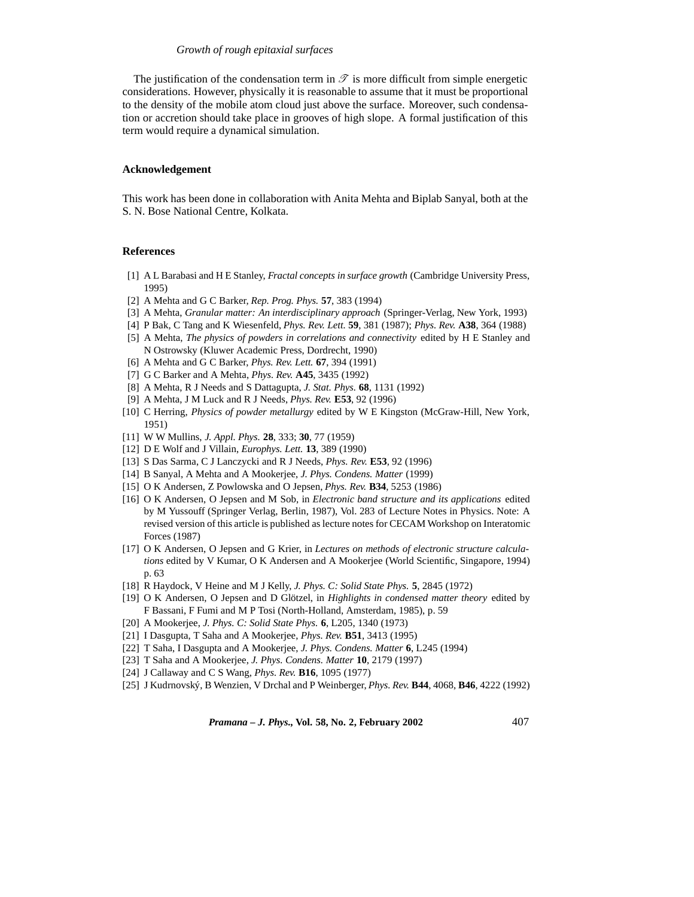The justification of the condensation term in  $\mathscr T$  is more difficult from simple energetic considerations. However, physically it is reasonable to assume that it must be proportional to the density of the mobile atom cloud just above the surface. Moreover, such condensation or accretion should take place in grooves of high slope. A formal justification of this term would require a dynamical simulation.

#### **Acknowledgement**

This work has been done in collaboration with Anita Mehta and Biplab Sanyal, both at the S. N. Bose National Centre, Kolkata.

## **References**

- [1] A L Barabasi and H E Stanley, *Fractal concepts in surface growth* (Cambridge University Press, 1995)
- [2] A Mehta and G C Barker, *Rep. Prog. Phys.* **57**, 383 (1994)
- [3] A Mehta, *Granular matter: An interdisciplinary approach* (Springer-Verlag, New York, 1993)
- [4] P Bak, C Tang and K Wiesenfeld, *Phys. Rev. Lett.* **59**, 381 (1987); *Phys. Rev.* **A38**, 364 (1988)
- [5] A Mehta, *The physics of powders in correlations and connectivity* edited by H E Stanley and N Ostrowsky (Kluwer Academic Press, Dordrecht, 1990)
- [6] A Mehta and G C Barker, *Phys. Rev. Lett.* **67**, 394 (1991)
- [7] G C Barker and A Mehta, *Phys. Rev.* **A45**, 3435 (1992)
- [8] A Mehta, R J Needs and S Dattagupta, *J. Stat. Phys.* **68**, 1131 (1992)
- [9] A Mehta, J M Luck and R J Needs, *Phys. Rev.* **E53**, 92 (1996)
- [10] C Herring, *Physics of powder metallurgy* edited by W E Kingston (McGraw-Hill, New York, 1951)
- [11] W W Mullins, *J. Appl. Phys.* **28**, 333; **30**, 77 (1959)
- [12] D E Wolf and J Villain, *Europhys. Lett.* **13**, 389 (1990)
- [13] S Das Sarma, C J Lanczycki and R J Needs, *Phys. Rev.* **E53**, 92 (1996)
- [14] B Sanyal, A Mehta and A Mookerjee, *J. Phys. Condens. Matter* (1999)
- [15] O K Andersen, Z Powlowska and O Jepsen, *Phys. Rev.* **B34**, 5253 (1986)
- [16] O K Andersen, O Jepsen and M Sob, in *Electronic band structure and its applications* edited by M Yussouff (Springer Verlag, Berlin, 1987), Vol. 283 of Lecture Notes in Physics. Note: A revised version of this article is published as lecture notes for CECAM Workshop on Interatomic Forces (1987)
- [17] O K Andersen, O Jepsen and G Krier, in *Lectures on methods of electronic structure calculations* edited by V Kumar, O K Andersen and A Mookerjee (World Scientific, Singapore, 1994) p. 63
- [18] R Haydock, V Heine and M J Kelly, *J. Phys. C: Solid State Phys.* **5**, 2845 (1972)
- [19] O K Andersen, O Jepsen and D Glötzel, in *Highlights in condensed matter theory* edited by F Bassani, F Fumi and M P Tosi (North-Holland, Amsterdam, 1985), p. 59
- [20] A Mookerjee, *J. Phys. C: Solid State Phys.* **6**, L205, 1340 (1973)
- [21] I Dasgupta, T Saha and A Mookerjee, *Phys. Rev.* **B51**, 3413 (1995)
- [22] T Saha, I Dasgupta and A Mookerjee, *J. Phys. Condens. Matter* **6**, L245 (1994)
- [23] T Saha and A Mookerjee, *J. Phys. Condens. Matter* **10**, 2179 (1997)
- [24] J Callaway and C S Wang, *Phys. Rev.* **B16**, 1095 (1977)
- [25] J Kudrnovsk´y, B Wenzien, V Drchal and P Weinberger, *Phys. Rev.* **B44**, 4068, **B46**, 4222 (1992)